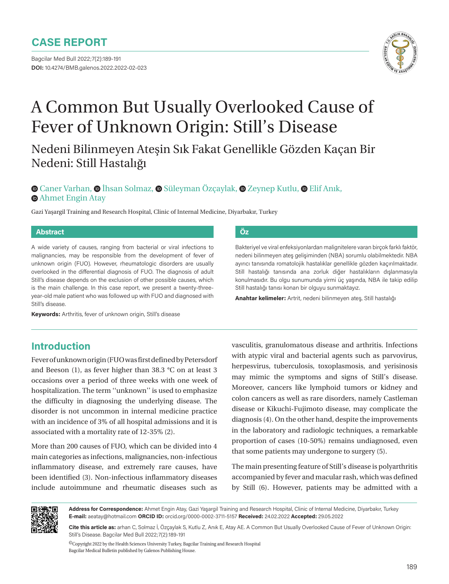Bagcilar Med Bull 2022;7(2):189-191 **DOI:** 10.4274/BMB.galenos.2022.2022-02-023



# A Common But Usually Overlooked Cause of Fever of Unknown Origin: Still's Disease

Nedeni Bilinmeyen Ateşin Sık Fakat Genellikle Gözden Kaçan Bir Nedeni: Still Hastalığı

## **CanerVarhan, O İhsan Solmaz, O Süleyman Özçaylak, O Zeynep Kutlu, O Elif Anık, •Ahmet Engin Atay**

Gazi Yaşargil Training and Research Hospital, Clinic of Internal Medicine, Diyarbakır, Turkey

#### **Abstract Öz**

A wide variety of causes, ranging from bacterial or viral infections to malignancies, may be responsible from the development of fever of unknown origin (FUO). However, rheumatologic disorders are usually overlooked in the differential diagnosis of FUO. The diagnosis of adult Still's disease depends on the exclusion of other possible causes, which is the main challenge. In this case report, we present a twenty-threeyear-old male patient who was followed up with FUO and diagnosed with Still's disease.

**Keywords:** Arthritis, fever of unknown origin, Still's disease

# **Introduction**

Fever of unknown origin (FUO was first defined by Petersdorf and Beeson (1), as fever higher than 38.3 °C on at least 3 occasions over a period of three weeks with one week of hospitalization. The term ''unknown'' is used to emphasize the difficulty in diagnosing the underlying disease. The disorder is not uncommon in internal medicine practice with an incidence of 3% of all hospital admissions and it is associated with a mortality rate of 12-35% (2).

More than 200 causes of FUO, which can be divided into 4 main categories as infections, malignancies, non-infectious inflammatory disease, and extremely rare causes, have been identified (3). Non-infectious inflammatory diseases include autoimmune and rheumatic diseases such as

Bakteriyel ve viral enfeksiyonlardan malignitelere varan birçok farklı faktör, nedeni bilinmeyen ateş gelişiminden (NBA) sorumlu olabilmektedir. NBA ayırıcı tanısında romatolojik hastalıklar genellikle gözden kaçırılmaktadır. Still hastalığı tanısında ana zorluk diğer hastalıkların dışlanmasıyla konulmasıdır. Bu olgu sunumunda yirmi üç yaşında, NBA ile takip edilip Still hastalığı tanısı konan bir olguyu sunmaktayız.

**Anahtar kelimeler:** Artrit, nedeni bilinmeyen ateş, Still hastalığı

vasculitis, granulomatous disease and arthritis. Infections with atypic viral and bacterial agents such as parvovirus, herpesvirus, tuberculosis, toxoplasmosis, and yerisinosis may mimic the symptoms and signs of Still's disease. Moreover, cancers like lymphoid tumors or kidney and colon cancers as well as rare disorders, namely Castleman disease or Kikuchi-Fujimoto disease, may complicate the diagnosis (4). On the other hand, despite the improvements in the laboratory and radiologic techniques, a remarkable proportion of cases (10-50%) remains undiagnosed, even that some patients may undergone to surgery (5).

The main presenting feature of Still's disease is polyarthritis accompanied by fever and macular rash, which was defined by Still (6). However, patients may be admitted with a



**Address for Correspondence:** Ahmet Engin Atay, Gazi Yaşargil Training and Research Hospital, Clinic of Internal Medicine, Diyarbakır, Turkey **E-mail:** aeatay@hotmail.com **ORCID ID:** orcid.org/0000-0002-3711-5157 **Received:** 24.02.2022 **Accepted:** 29.05.2022

**Cite this article as:** arhan C, Solmaz İ, Özçaylak S, Kutlu Z, Anık E, Atay AE. A Common But Usually Overlooked Cause of Fever of Unknown Origin: Still's Disease. Bagcilar Med Bull 2022;7(2):189-191

 ${}^{{\textcircled{\tiny 1}}}$ Copyright 2022 by the Health Sciences University Turkey, Bagcilar Training and Research Hospital Bagcilar Medical Bulletin published by Galenos Publishing House.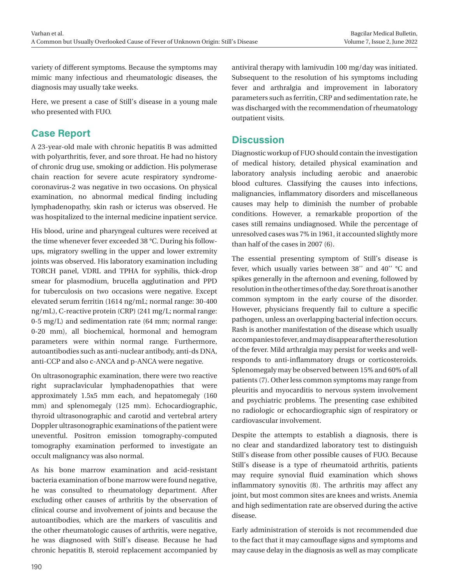variety of different symptoms. Because the symptoms may mimic many infectious and rheumatologic diseases, the diagnosis may usually take weeks.

Here, we present a case of Still's disease in a young male who presented with FUO.

# **Case Report**

A 23-year-old male with chronic hepatitis B was admitted with polyarthritis, fever, and sore throat. He had no history of chronic drug use, smoking or addiction. His polymerase chain reaction for severe acute respiratory syndromecoronavirus-2 was negative in two occasions. On physical examination, no abnormal medical finding including lymphadenopathy, skin rash or icterus was observed. He was hospitalized to the internal medicine inpatient service.

His blood, urine and pharyngeal cultures were received at the time whenever fever exceeded 38 °C. During his followups, migratory swelling in the upper and lower extremity joints was observed. His laboratory examination including TORCH panel, VDRL and TPHA for syphilis, thick-drop smear for plasmodium, brucella agglutination and PPD for tuberculosis on two occasions were negative. Except elevated serum ferritin (1614 ng/mL; normal range: 30-400 ng/mL), C-reactive protein (CRP) (241 mg/L; normal range: 0-5 mg/L) and sedimentation rate (64 mm; normal range: 0-20 mm), all biochemical, hormonal and hemogram parameters were within normal range. Furthermore, autoantibodies such as anti-nuclear antibody, anti-ds DNA, anti-CCP and also c-ANCA and p-ANCA were negative.

On ultrasonographic examination, there were two reactive right supraclavicular lymphadenopathies that were approximately 1.5x5 mm each, and hepatomegaly (160 mm) and splenomegaly (125 mm). Echocardiographic, thyroid ultrasonographic and carotid and vertebral artery Doppler ultrasonographic examinations of the patient were uneventful. Positron emission tomography-computed tomography examination performed to investigate an occult malignancy was also normal.

As his bone marrow examination and acid-resistant bacteria examination of bone marrow were found negative, he was consulted to rheumatology department. After excluding other causes of arthritis by the observation of clinical course and involvement of joints and because the autoantibodies, which are the markers of vasculitis and the other rheumatologic causes of arthritis, were negative, he was diagnosed with Still's disease. Because he had chronic hepatitis B, steroid replacement accompanied by antiviral therapy with lamivudin 100 mg/day was initiated. Subsequent to the resolution of his symptoms including fever and arthralgia and improvement in laboratory parameters such as ferritin, CRP and sedimentation rate, he was discharged with the recommendation of rheumatology outpatient visits.

# **Discussion**

Diagnostic workup of FUO should contain the investigation of medical history, detailed physical examination and laboratory analysis including aerobic and anaerobic blood cultures. Classifying the causes into infections, malignancies, inflammatory disorders and miscellaneous causes may help to diminish the number of probable conditions. However, a remarkable proportion of the cases still remains undiagnosed. While the percentage of unresolved cases was 7% in 1961, it accounted slightly more than half of the cases in 2007 (6).

The essential presenting symptom of Still's disease is fever, which usually varies between 38'' and 40'' °C and spikes generally in the afternoon and evening, followed by resolution in the other times of the day. Sore throat is another common symptom in the early course of the disorder. However, physicians frequently fail to culture a specific pathogen, unless an overlapping bacterial infection occurs. Rash is another manifestation of the disease which usually accompanies to fever, and may disappear after the resolution of the fever. Mild arthralgia may persist for weeks and wellresponds to anti-inflammatory drugs or corticosteroids. Splenomegaly may be observed between 15% and 60% of all patients (7). Other less common symptoms may range from pleuritis and myocarditis to nervous system involvement and psychiatric problems. The presenting case exhibited no radiologic or echocardiographic sign of respiratory or cardiovascular involvement.

Despite the attempts to establish a diagnosis, there is no clear and standardized laboratory test to distinguish Still's disease from other possible causes of FUO. Because Still's disease is a type of rheumatoid arthritis, patients may require synovial fluid examination which shows inflammatory synovitis (8). The arthritis may affect any joint, but most common sites are knees and wrists. Anemia and high sedimentation rate are observed during the active disease.

Early administration of steroids is not recommended due to the fact that it may camouflage signs and symptoms and may cause delay in the diagnosis as well as may complicate